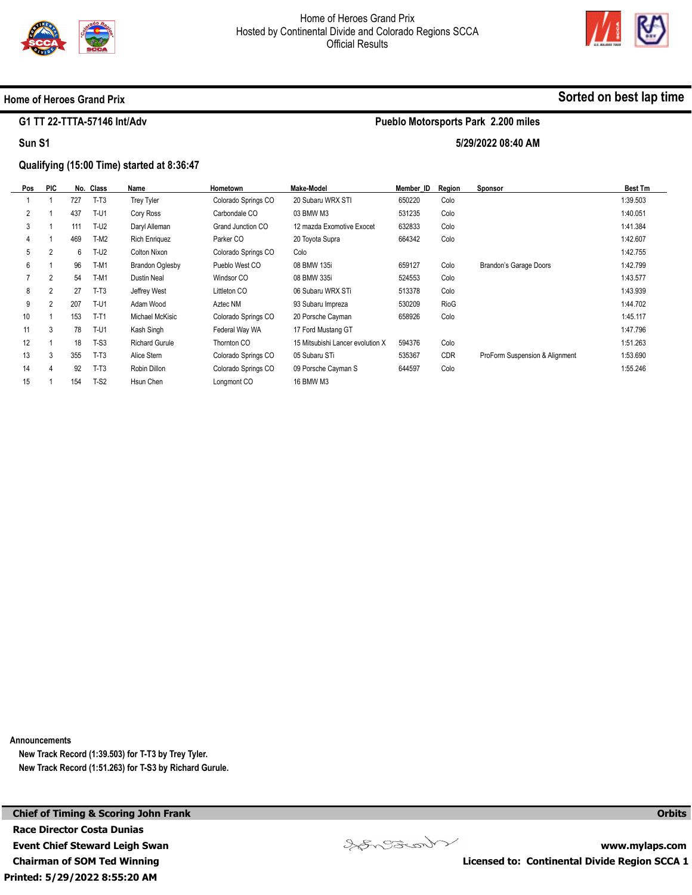



**Sorted on best lap time**

## **Home of Heroes Grand Prix**

## **G1 TT 22-TTTA-57146 Int/Adv**

**Sun S1** 

# **Pueblo Motorsports Park 2.200 miles**

**5/29/2022 08:40 AM** 

## **Qualifying (15:00 Time) started at 8:36:47**

| Pos            | <b>PIC</b>     |     | No. Class | Name                   | <b>Hometown</b>     | Make-Model                       | Member ID | Reaion     | <b>Sponsor</b>                 | <b>Best Tm</b> |
|----------------|----------------|-----|-----------|------------------------|---------------------|----------------------------------|-----------|------------|--------------------------------|----------------|
|                |                | 727 | $T-T3$    | <b>Trey Tyler</b>      | Colorado Springs CO | 20 Subaru WRX STI                | 650220    | Colo       |                                | 1:39.503       |
| $\overline{2}$ |                | 437 | $T-U1$    | Cory Ross              | Carbondale CO       | 03 BMW M3                        | 531235    | Colo       |                                | 1:40.051       |
| 3              |                | 111 | $T-U2$    | Daryl Alleman          | Grand Junction CO   | 12 mazda Exomotive Exocet        | 632833    | Colo       |                                | 1:41.384       |
| 4              |                | 469 | $T-M2$    | <b>Rich Enriquez</b>   | Parker CO           | 20 Toyota Supra                  | 664342    | Colo       |                                | 1:42.607       |
| 5              | 2              | 6   | $T-U2$    | Colton Nixon           | Colorado Springs CO | Colo                             |           |            |                                | 1:42.755       |
| 6              |                | 96  | $T-M1$    | <b>Brandon Oglesby</b> | Pueblo West CO      | 08 BMW 135i                      | 659127    | Colo       | Brandon's Garage Doors         | 1:42.799       |
|                | $\overline{2}$ | 54  | $T-M1$    | Dustin Neal            | Windsor CO          | 08 BMW 335i                      | 524553    | Colo       |                                | 1:43.577       |
| 8              | 2              | 27  | $T-T3$    | Jeffrey West           | Littleton CO        | 06 Subaru WRX STi                | 513378    | Colo       |                                | 1:43.939       |
| 9              | 2              | 207 | $T-U1$    | Adam Wood              | Aztec NM            | 93 Subaru Impreza                | 530209    | RioG       |                                | 1:44.702       |
| 10             |                | 153 | $T-T1$    | Michael McKisic        | Colorado Springs CO | 20 Porsche Cayman                | 658926    | Colo       |                                | 1:45.117       |
| 11             | 3              | 78  | $T-U1$    | Kash Singh             | Federal Way WA      | 17 Ford Mustang GT               |           |            |                                | 1:47.796       |
| 12             |                | 18  | $T-S3$    | <b>Richard Gurule</b>  | Thornton CO         | 15 Mitsubishi Lancer evolution X | 594376    | Colo       |                                | 1:51.263       |
| 13             | 3              | 355 | $T-T3$    | Alice Stern            | Colorado Springs CO | 05 Subaru STi                    | 535367    | <b>CDR</b> | ProForm Suspension & Alignment | 1:53.690       |
| 14             | 4              | 92  | $T-T3$    | Robin Dillon           | Colorado Springs CO | 09 Porsche Cayman S              | 644597    | Colo       |                                | 1:55.246       |
| 15             |                | 154 | $T-S2$    | Hsun Chen              | Longmont CO         | 16 BMW M3                        |           |            |                                |                |

**Announcements** 

**New Track Record (1:39.503) for T-T3 by Trey Tyler. New Track Record (1:51.263) for T-S3 by Richard Gurule.** 

**Printed: 5/29/2022 8:55:20 AM Chief of Timing & Scoring John Frank Race Director Costa Dunias Event Chief Steward Leigh Swan Chairman of SOM Ted Winning** 



**www.mylaps.com Licensed to: Continental Divide Region SCCA 1** 

**Orbits**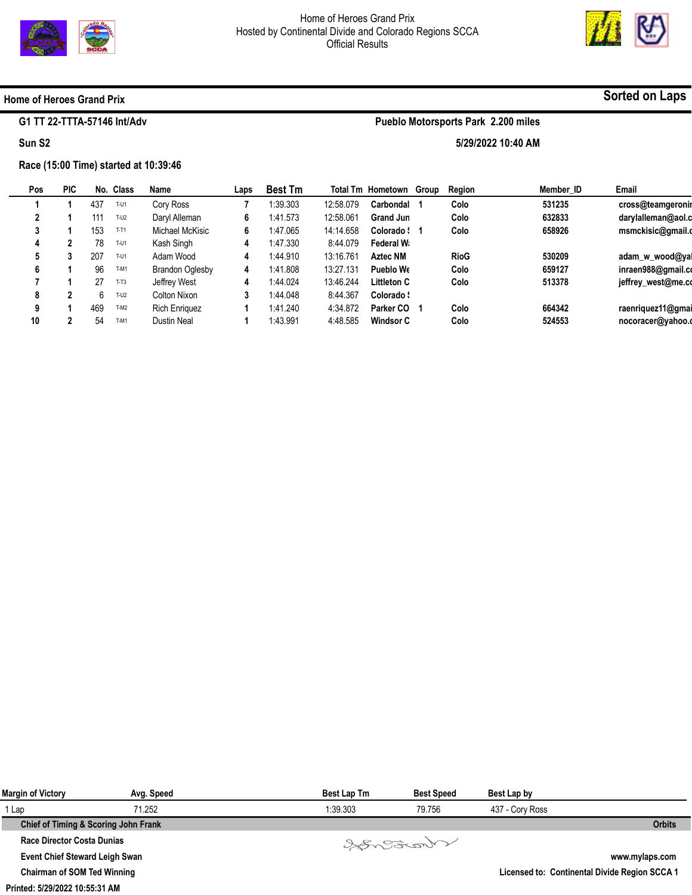

**Pueblo Motorsports Park 2.200 miles** 

**5/29/2022 10:40 AM** 



## **Home of Heroes Grand Prix**

## **G1 TT 22-TTTA-57146 Int/Adv**

### **Sun S2**

## **Race (15:00 Time) started at 10:39:46**

| Pos | <b>PIC</b> | No. | Class  | Name                   | Laps | <b>Best Tm</b> |           | <b>Total Tm Hometown Group</b> | Region      | Member ID | Email              |
|-----|------------|-----|--------|------------------------|------|----------------|-----------|--------------------------------|-------------|-----------|--------------------|
|     |            | 437 | $T-U1$ | Cory Ross              |      | 1:39.303       | 12:58.079 | Carbondal                      | Colo        | 531235    | cross@teamgeronir  |
|     |            | 111 | $T-U2$ | Daryl Alleman          | 6    | 1:41.573       | 12:58.061 | <b>Grand Jun</b>               | Colo        | 632833    | darylalleman@aol.c |
|     |            | 153 | $T-T1$ | Michael McKisic        | 6    | 1:47.065       | 14:14.658 | Colorado : 1                   | Colo        | 658926    | msmckisic@gmail.c  |
|     |            | 78  | T-U1   | Kash Singh             | 4    | 1:47.330       | 8:44.079  | Federal W                      |             |           |                    |
|     |            | 207 | T-U1   | Adam Wood              | 4    | 1:44.910       | 13:16.761 | <b>Aztec NM</b>                | <b>RioG</b> | 530209    | adam w wood@ya     |
| 6   |            | 96  | T-M1   | <b>Brandon Oglesby</b> | 4    | 1:41.808       | 13:27.131 | Pueblo Wo                      | Colo        | 659127    | inraen988@gmail.co |
|     |            | 27  | $T-T3$ | Jeffrey West           | 4    | 1:44.024       | 13:46.244 | <b>Littleton C</b>             | Colo        | 513378    | jeffrey_west@me.co |
| 8   |            | ĥ   | $T-U2$ | Colton Nixon           | 3    | 1:44.048       | 8:44.367  | Colorado :                     |             |           |                    |
| 9   |            | 469 | T-M2   | <b>Rich Enriquez</b>   |      | 1:41.240       | 4:34.872  | Parker CO                      | Colo        | 664342    | raenriquez11@gmai  |
| 10  |            | 54  | T-M1   | <b>Dustin Neal</b>     |      | 1:43.991       | 4:48.585  | Windsor C                      | Colo        | 524553    | nocoracer@yahoo.c  |
|     |            |     |        |                        |      |                |           |                                |             |           |                    |

| Margin of Victory                     | Avg. Speed | Best Lap Tm | <b>Best Speed</b> | Best Lap by     |                                               |
|---------------------------------------|------------|-------------|-------------------|-----------------|-----------------------------------------------|
| 1 Lap                                 | 71.252     | 1:39.303    | 79.756            | 437 - Cory Ross |                                               |
| Chief of Timing & Scoring John Frank  |            |             |                   |                 | <b>Orbits</b>                                 |
| Race Director Costa Dunias            |            |             | Songona           |                 |                                               |
| <b>Event Chief Steward Leigh Swan</b> |            |             |                   |                 | www.mylaps.com                                |
| <b>Chairman of SOM Ted Winning</b>    |            |             |                   |                 | Licensed to: Continental Divide Region SCCA 1 |

#### **Printed: 5/29/2022 10:55:31 AM**

## **Sorted on Laps**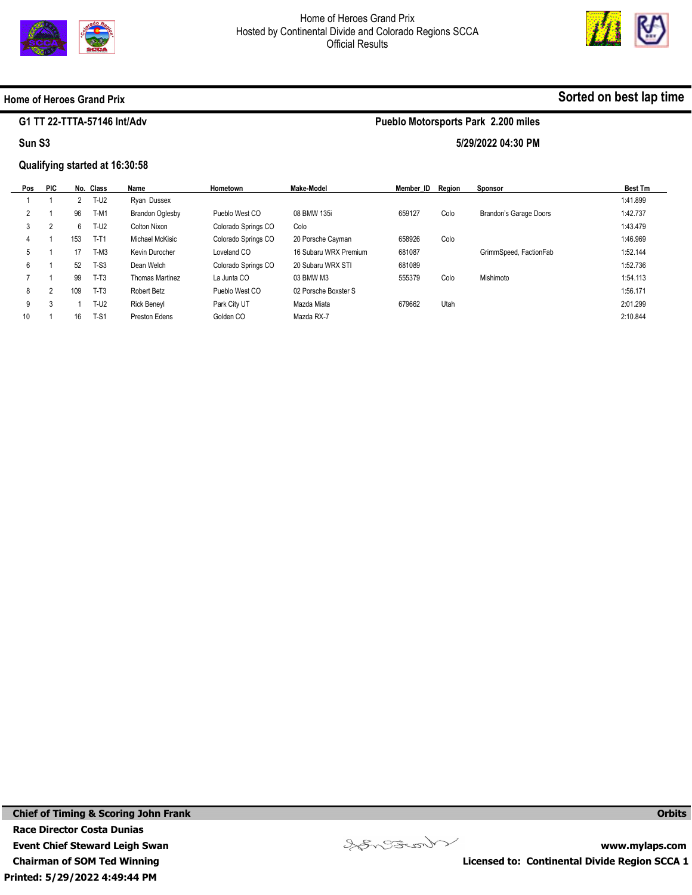



**Sorted on best lap time**

## **Home of Heroes Grand Prix**

### **G1 TT 22-TTTA-57146 Int/Adv**

#### **Sun S3**

## **Qualifying started at 16:30:58**

## **Pueblo Motorsports Park 2.200 miles**

**5/29/2022 04:30 PM** 

| Pos | <b>PIC</b>     |     | No. Class | Name               | Hometown            | Make-Model            | Member ID | Region | <b>Sponsor</b>         | <b>Best Tm</b> |
|-----|----------------|-----|-----------|--------------------|---------------------|-----------------------|-----------|--------|------------------------|----------------|
|     |                |     | $T-U2$    | Rvan Dussex        |                     |                       |           |        |                        | 1:41.899       |
| 2   |                | 96  | $T-M1$    | Brandon Oglesby    | Pueblo West CO      | 08 BMW 135i           | 659127    | Colo   | Brandon's Garage Doors | 1:42.737       |
| 3   | $\overline{2}$ | 6   | $T-U2$    | Colton Nixon       | Colorado Springs CO | Colo                  |           |        |                        | 1:43.479       |
| 4   |                | 153 | $T-T1$    | Michael McKisic    | Colorado Springs CO | 20 Porsche Cayman     | 658926    | Colo   |                        | 1:46.969       |
| 5   |                | 17  | $T-M3$    | Kevin Durocher     | Loveland CO         | 16 Subaru WRX Premium | 681087    |        | GrimmSpeed, FactionFab | 1:52.144       |
| 6   |                | 52  | $T-S3$    | Dean Welch         | Colorado Springs CO | 20 Subaru WRX STI     | 681089    |        |                        | 1:52.736       |
|     |                | 99  | $T-T3$    | Thomas Martinez    | La Junta CO         | 03 BMW M3             | 555379    | Colo   | Mishimoto              | 1:54.113       |
| 8   | 2              | 109 | $T-T3$    | Robert Betz        | Pueblo West CO      | 02 Porsche Boxster S  |           |        |                        | 1:56.171       |
| 9   | 3              |     | $T-U2$    | <b>Rick Beneyl</b> | Park City UT        | Mazda Miata           | 679662    | Utah   |                        | 2:01.299       |
| 10  |                | 16  | $T-S1$    | Preston Edens      | Golden CO           | Mazda RX-7            |           |        |                        | 2:10.844       |



**www.mylaps.com Licensed to: Continental Divide Region SCCA 1** 

**Orbits**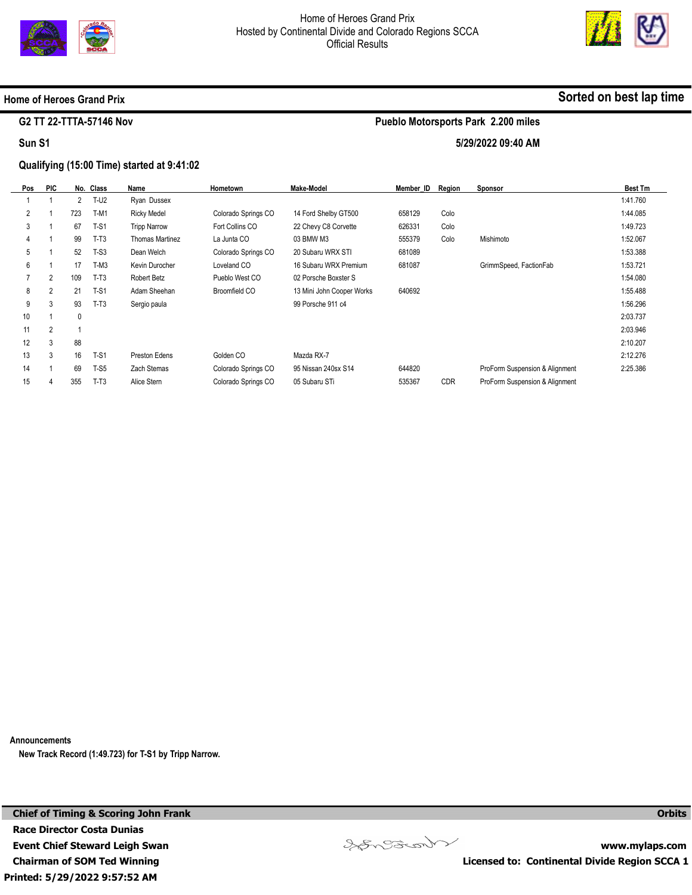



## **Home of Heroes Grand Prix**

## **G2 TT 22-TTTA-57146 Nov**

**Sun S1** 

## **Qualifying (15:00 Time) started at 9:41:02**

| Pos            | <b>PIC</b>     |              | No. Class | Name                | Hometown            | Make-Model                | Member ID | Region     | <b>Sponsor</b>                 | <b>Best Tm</b> |
|----------------|----------------|--------------|-----------|---------------------|---------------------|---------------------------|-----------|------------|--------------------------------|----------------|
|                |                | 2            | T-U2      | Ryan Dussex         |                     |                           |           |            |                                | 1:41.760       |
| $\overline{2}$ |                | 723          | $T-M1$    | <b>Ricky Medel</b>  | Colorado Springs CO | 14 Ford Shelby GT500      | 658129    | Colo       |                                | 1:44.085       |
| 3              |                | 67           | $T-S1$    | <b>Tripp Narrow</b> | Fort Collins CO     | 22 Chevy C8 Corvette      | 626331    | Colo       |                                | 1:49.723       |
| 4              |                | 99           | $T-T3$    | Thomas Martinez     | La Junta CO         | 03 BMW M3                 | 555379    | Colo       | Mishimoto                      | 1:52.067       |
| 5              |                | 52           | $T-S3$    | Dean Welch          | Colorado Springs CO | 20 Subaru WRX STI         | 681089    |            |                                | 1:53.388       |
| 6              |                | 17           | $T-M3$    | Kevin Durocher      | Loveland CO         | 16 Subaru WRX Premium     | 681087    |            | GrimmSpeed, FactionFab         | 1:53.721       |
|                | 2              | 109          | $T-T3$    | Robert Betz         | Pueblo West CO      | 02 Porsche Boxster S      |           |            |                                | 1:54.080       |
| 8              | $\overline{2}$ | 21           | $T-S1$    | Adam Sheehan        | Broomfield CO       | 13 Mini John Cooper Works | 640692    |            |                                | 1:55.488       |
| 9              | 3              | 93           | $T-T3$    | Sergio paula        |                     | 99 Porsche 911 c4         |           |            |                                | 1:56.296       |
| 10             |                | $\mathbf{0}$ |           |                     |                     |                           |           |            |                                | 2:03.737       |
| 11             | $\overline{2}$ |              |           |                     |                     |                           |           |            |                                | 2:03.946       |
| 12             | 3              | 88           |           |                     |                     |                           |           |            |                                | 2:10.207       |
| 13             | 3              | 16           | $T-S1$    | Preston Edens       | Golden CO           | Mazda RX-7                |           |            |                                | 2:12.276       |
| 14             |                | 69           | $T-S5$    | Zach Stemas         | Colorado Springs CO | 95 Nissan 240sx S14       | 644820    |            | ProForm Suspension & Alignment | 2:25.386       |
| 15             | 4              | 355          | $T-T3$    | Alice Stern         | Colorado Springs CO | 05 Subaru STi             | 535367    | <b>CDR</b> | ProForm Suspension & Alignment |                |

**Announcements** 

**New Track Record (1:49.723) for T-S1 by Tripp Narrow.** 

**Printed: 5/29/2022 9:57:52 AM Chief of Timing & Scoring John Frank Race Director Costa Dunias Event Chief Steward Leigh Swan Chairman of SOM Ted Winning** 



**Sorted on best lap time**

## **5/29/2022 09:40 AM**

**Pueblo Motorsports Park 2.200 miles** 

**Orbits** 

**www.mylaps.com** 

**Licensed to: Continental Divide Region SCCA 1**